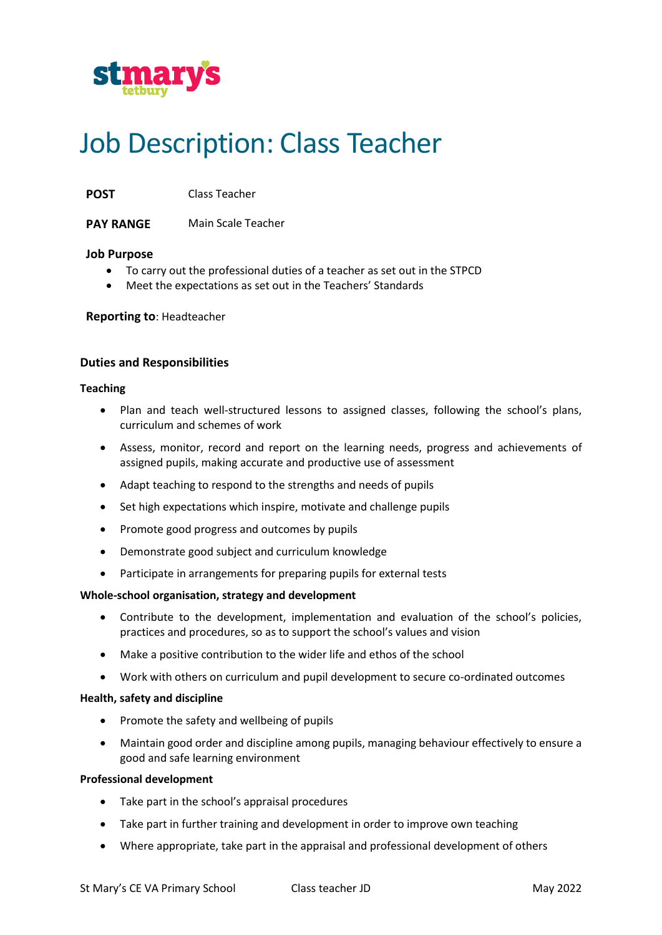

# Job Description: Class Teacher

**POST** Class Teacher

**PAY RANGE** Main Scale Teacher

## **Job Purpose**

- To carry out the professional duties of a teacher as set out in the STPCD
- Meet the expectations as set out in the Teachers' Standards

**Reporting to**: Headteacher

## **Duties and Responsibilities**

#### **Teaching**

- Plan and teach well-structured lessons to assigned classes, following the school's plans, curriculum and schemes of work
- Assess, monitor, record and report on the learning needs, progress and achievements of assigned pupils, making accurate and productive use of assessment
- Adapt teaching to respond to the strengths and needs of pupils
- Set high expectations which inspire, motivate and challenge pupils
- Promote good progress and outcomes by pupils
- Demonstrate good subject and curriculum knowledge
- Participate in arrangements for preparing pupils for external tests

## **Whole-school organisation, strategy and development**

- Contribute to the development, implementation and evaluation of the school's policies, practices and procedures, so as to support the school's values and vision
- Make a positive contribution to the wider life and ethos of the school
- Work with others on curriculum and pupil development to secure co-ordinated outcomes

## **Health, safety and discipline**

- Promote the safety and wellbeing of pupils
- Maintain good order and discipline among pupils, managing behaviour effectively to ensure a good and safe learning environment

## **Professional development**

- Take part in the school's appraisal procedures
- Take part in further training and development in order to improve own teaching
- Where appropriate, take part in the appraisal and professional development of others